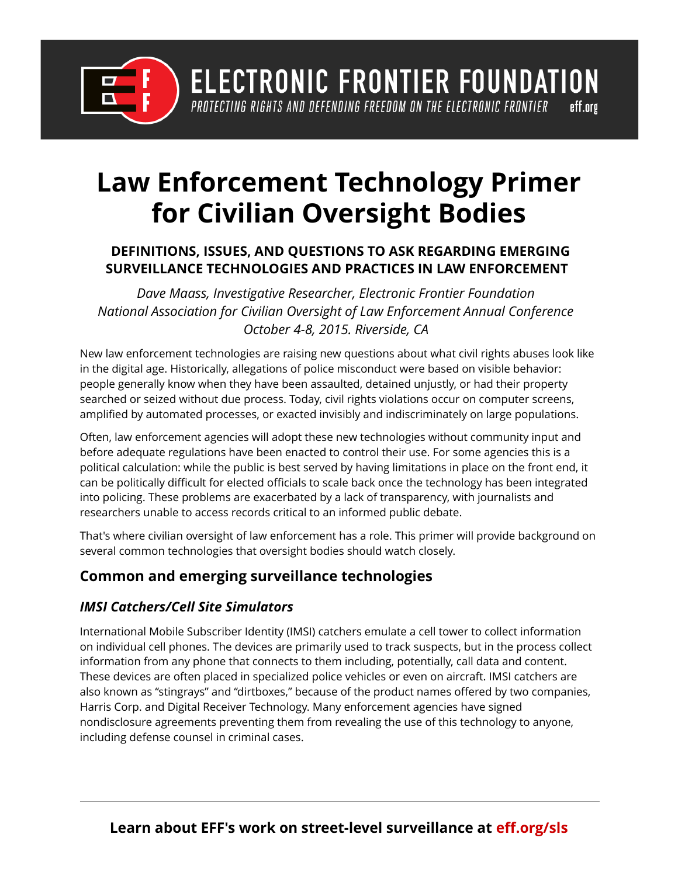

**ELECTRONIC FRONTIER FOUNDATION** PROTECTING RIGHTS AND DEFENDING FREEDOM ON THE ELECTRONIC FRONTIER eff.org

# **Law Enforcement Technology Primer for Civilian Oversight Bodies**

### **DEFINITIONS, ISSUES, AND QUESTIONS TO ASK REGARDING EMERGING SURVEILLANCE TECHNOLOGIES AND PRACTICES IN LAW ENFORCEMENT**

*Dave Maass, Investigative Researcher, Electronic Frontier Foundation National Association for Civilian Oversight of Law Enforcement Annual Conference October 4-8, 2015. Riverside, CA* 

New law enforcement technologies are raising new questions about what civil rights abuses look like in the digital age. Historically, allegations of police misconduct were based on visible behavior: people generally know when they have been assaulted, detained unjustly, or had their property searched or seized without due process. Today, civil rights violations occur on computer screens, amplified by automated processes, or exacted invisibly and indiscriminately on large populations.

Often, law enforcement agencies will adopt these new technologies without community input and before adequate regulations have been enacted to control their use. For some agencies this is a political calculation: while the public is best served by having limitations in place on the front end, it can be politically difficult for elected officials to scale back once the technology has been integrated into policing. These problems are exacerbated by a lack of transparency, with journalists and researchers unable to access records critical to an informed public debate.

That's where civilian oversight of law enforcement has a role. This primer will provide background on several common technologies that oversight bodies should watch closely.

## **Common and emerging surveillance technologies**

#### *IMSI Catchers/Cell Site Simulators*

International Mobile Subscriber Identity (IMSI) catchers emulate a cell tower to collect information on individual cell phones. The devices are primarily used to track suspects, but in the process collect information from any phone that connects to them including, potentially, call data and content. These devices are often placed in specialized police vehicles or even on aircraft. IMSI catchers are also known as "stingrays" and "dirtboxes," because of the product names offered by two companies, Harris Corp. and Digital Receiver Technology. Many enforcement agencies have signed nondisclosure agreements preventing them from revealing the use of this technology to anyone, including defense counsel in criminal cases.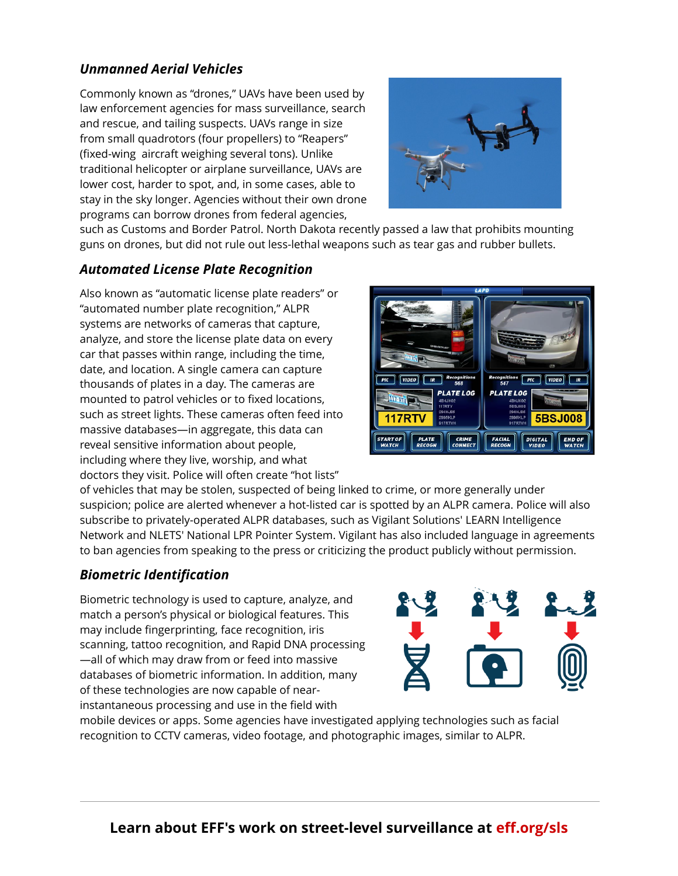### *Unmanned Aerial Vehicles*

Commonly known as "drones," UAVs have been used by law enforcement agencies for mass surveillance, search and rescue, and tailing suspects. UAVs range in size from small quadrotors (four propellers) to "Reapers" (fixed-wing aircraft weighing several tons). Unlike traditional helicopter or airplane surveillance, UAVs are lower cost, harder to spot, and, in some cases, able to stay in the sky longer. Agencies without their own drone programs can borrow drones from federal agencies,



such as Customs and Border Patrol. North Dakota recently passed a law that prohibits mounting guns on drones, but did not rule out less-lethal weapons such as tear gas and rubber bullets.

#### *Automated License Plate Recognition*

Also known as "automatic license plate readers" or "automated number plate recognition," ALPR systems are networks of cameras that capture, analyze, and store the license plate data on every car that passes within range, including the time, date, and location. A single camera can capture thousands of plates in a day. The cameras are mounted to patrol vehicles or to fixed locations, such as street lights. These cameras often feed into massive databases—in aggregate, this data can reveal sensitive information about people, including where they live, worship, and what doctors they visit. Police will often create "hot lists"



of vehicles that may be stolen, suspected of being linked to crime, or more generally under suspicion; police are alerted whenever a hot-listed car is spotted by an ALPR camera. Police will also subscribe to privately-operated ALPR databases, such as Vigilant Solutions' LEARN Intelligence Network and NLETS' National LPR Pointer System. Vigilant has also included language in agreements to ban agencies from speaking to the press or criticizing the product publicly without permission.

#### *Biometric Identification*

Biometric technology is used to capture, analyze, and match a person's physical or biological features. This may include fingerprinting, face recognition, iris scanning, tattoo recognition, and Rapid DNA processing —all of which may draw from or feed into massive databases of biometric information. In addition, many of these technologies are now capable of nearinstantaneous processing and use in the field with



mobile devices or apps. Some agencies have investigated applying technologies such as facial recognition to CCTV cameras, video footage, and photographic images, similar to ALPR.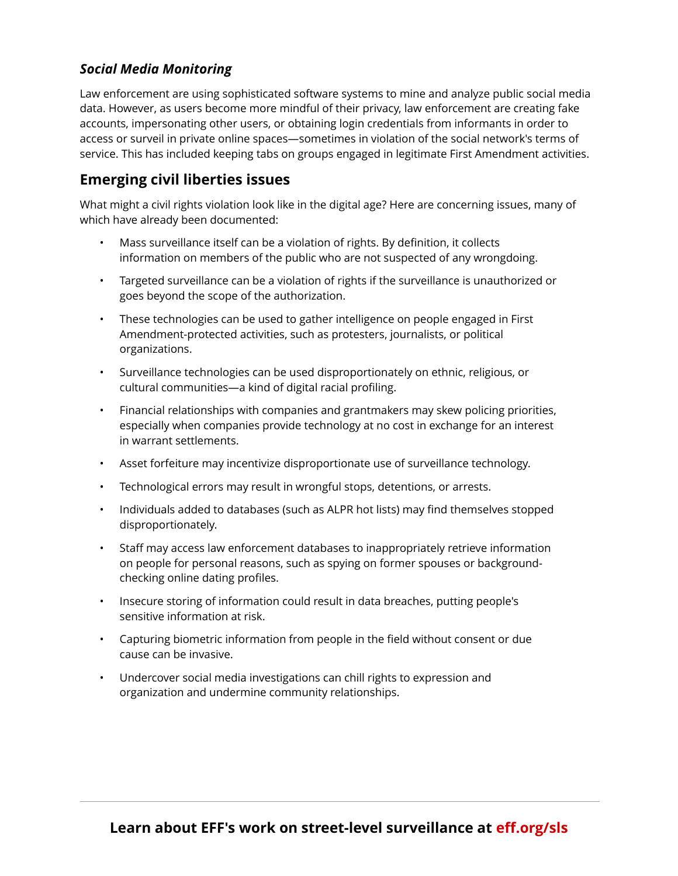### *Social Media Monitoring*

Law enforcement are using sophisticated software systems to mine and analyze public social media data. However, as users become more mindful of their privacy, law enforcement are creating fake accounts, impersonating other users, or obtaining login credentials from informants in order to access or surveil in private online spaces—sometimes in violation of the social network's terms of service. This has included keeping tabs on groups engaged in legitimate First Amendment activities.

#### **Emerging civil liberties issues**

What might a civil rights violation look like in the digital age? Here are concerning issues, many of which have already been documented:

- Mass surveillance itself can be a violation of rights. By definition, it collects information on members of the public who are not suspected of any wrongdoing.
- Targeted surveillance can be a violation of rights if the surveillance is unauthorized or goes beyond the scope of the authorization.
- These technologies can be used to gather intelligence on people engaged in First Amendment-protected activities, such as protesters, journalists, or political organizations.
- Surveillance technologies can be used disproportionately on ethnic, religious, or cultural communities—a kind of digital racial profiling.
- Financial relationships with companies and grantmakers may skew policing priorities, especially when companies provide technology at no cost in exchange for an interest in warrant settlements.
- Asset forfeiture may incentivize disproportionate use of surveillance technology.
- Technological errors may result in wrongful stops, detentions, or arrests.
- Individuals added to databases (such as ALPR hot lists) may find themselves stopped disproportionately.
- Staff may access law enforcement databases to inappropriately retrieve information on people for personal reasons, such as spying on former spouses or backgroundchecking online dating profiles.
- Insecure storing of information could result in data breaches, putting people's sensitive information at risk.
- Capturing biometric information from people in the field without consent or due cause can be invasive.
- Undercover social media investigations can chill rights to expression and organization and undermine community relationships.